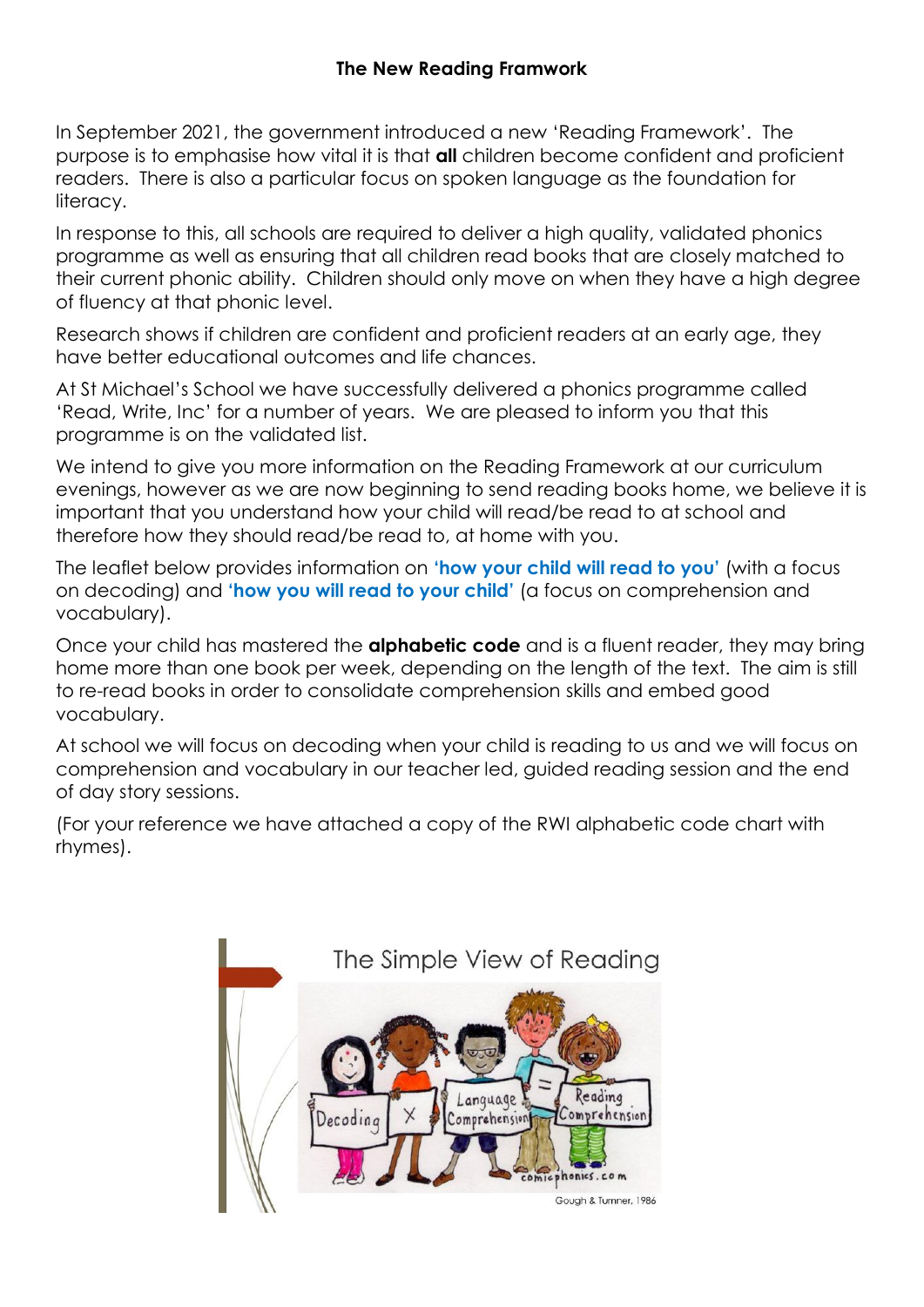In September 2021, the government introduced a new 'Reading Framework'. The purpose is to emphasise how vital it is that **all** children become confident and proficient readers. There is also a particular focus on spoken language as the foundation for literacy.

In response to this, all schools are required to deliver a high quality, validated phonics programme as well as ensuring that all children read books that are closely matched to their current phonic ability. Children should only move on when they have a high degree of fluency at that phonic level.

Research shows if children are confident and proficient readers at an early age, they have better educational outcomes and life chances.

At St Michael's School we have successfully delivered a phonics programme called 'Read, Write, Inc' for a number of years. We are pleased to inform you that this programme is on the validated list.

We intend to give you more information on the Reading Framework at our curriculum evenings, however as we are now beginning to send reading books home, we believe it is important that you understand how your child will read/be read to at school and therefore how they should read/be read to, at home with you.

The leaflet below provides information on **'how your child will read to you'** (with a focus on decoding) and **'how you will read to your child'** (a focus on comprehension and vocabulary).

Once your child has mastered the **alphabetic code** and is a fluent reader, they may bring home more than one book per week, depending on the length of the text. The aim is still to re-read books in order to consolidate comprehension skills and embed good vocabulary.

At school we will focus on decoding when your child is reading to us and we will focus on comprehension and vocabulary in our teacher led, guided reading session and the end of day story sessions.

(For your reference we have attached a copy of the RWI alphabetic code chart with rhymes).

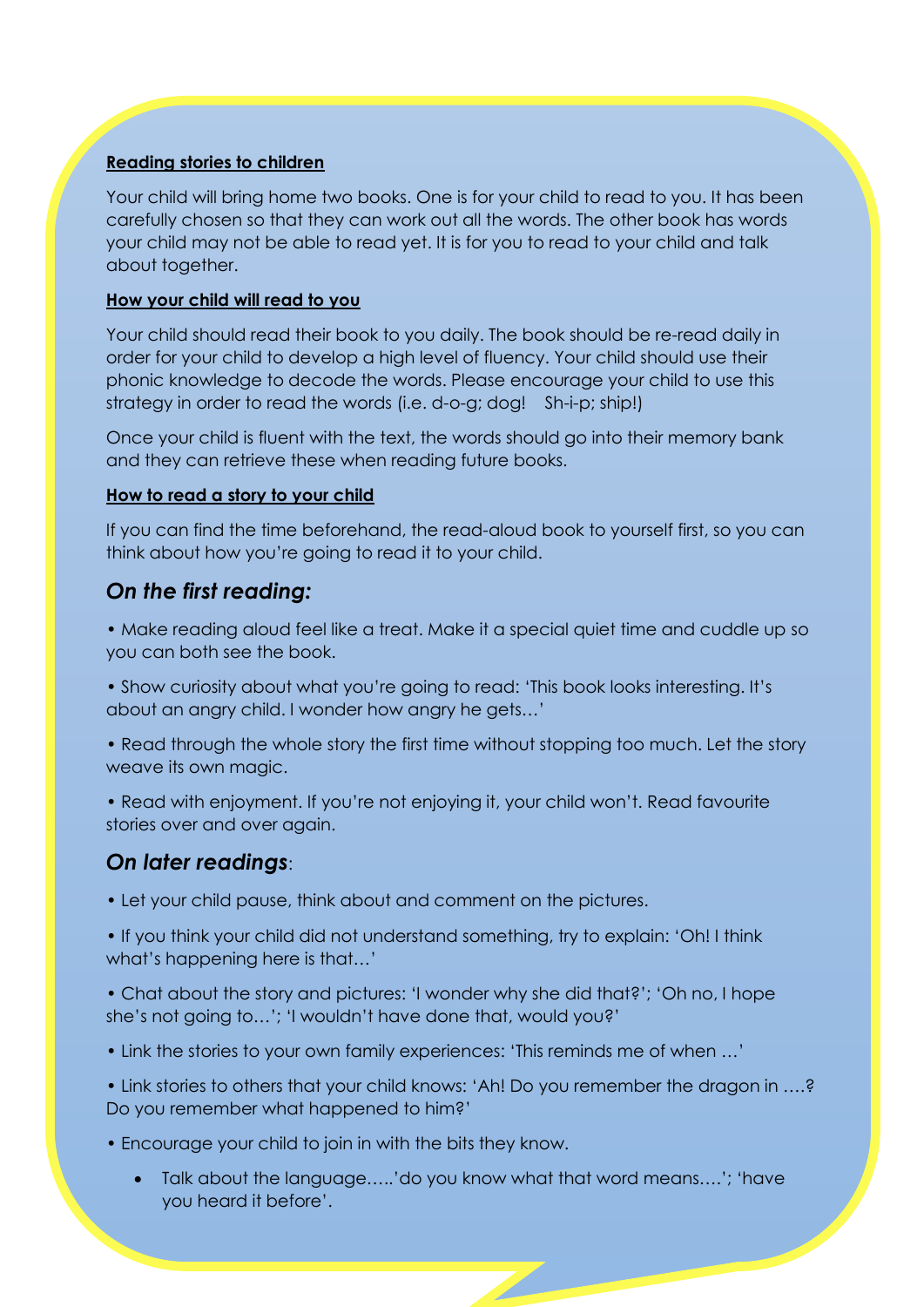### **Reading stories to children**

Your child will bring home two books. One is for your child to read to you. It has been carefully chosen so that they can work out all the words. The other book has words your child may not be able to read yet. It is for you to read to your child and talk about together.

#### **How your child will read to you**

Your child should read their book to you daily. The book should be re-read daily in order for your child to develop a high level of fluency. Your child should use their phonic knowledge to decode the words. Please encourage your child to use this strategy in order to read the words (i.e. d-o-g; dog! Sh-i-p; ship!)

Once your child is fluent with the text, the words should go into their memory bank and they can retrieve these when reading future books.

#### **How to read a story to your child**

If you can find the time beforehand, the read-aloud book to yourself first, so you can think about how you're going to read it to your child.

## *On the first reading:*

• Make reading aloud feel like a treat. Make it a special quiet time and cuddle up so you can both see the book.

- Show curiosity about what you're going to read: 'This book looks interesting. It's about an angry child. I wonder how angry he gets…'
- Read through the whole story the first time without stopping too much. Let the story weave its own magic.
- Read with enjoyment. If you're not enjoying it, your child won't. Read favourite stories over and over again.

# *On later readings*:

- Let your child pause, think about and comment on the pictures.
- If you think your child did not understand something, try to explain: 'Oh! I think what's happening here is that…'
- Chat about the story and pictures: 'I wonder why she did that?'; 'Oh no, I hope she's not going to…'; 'I wouldn't have done that, would you?'
- Link the stories to your own family experiences: 'This reminds me of when …'
- Link stories to others that your child knows: 'Ah! Do you remember the dragon in ….? Do you remember what happened to him?'
- Encourage your child to join in with the bits they know.
	- Talk about the language…..'do you know what that word means….'; 'have you heard it before'.